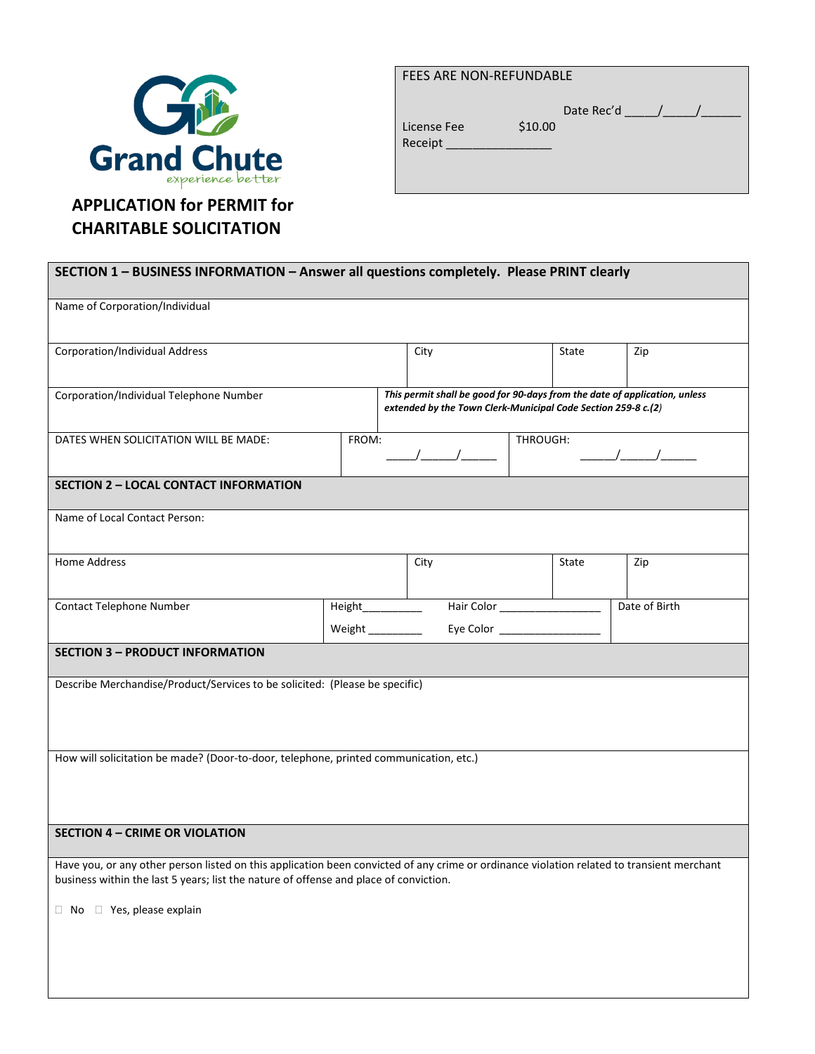

## FEES ARE NON-REFUNDABLE

|             |         | Date Rec'd |  |
|-------------|---------|------------|--|
| License Fee | \$10.00 |            |  |
| Receipt     |         |            |  |

## CHARITABLE SOLICITATION

| SECTION 1 - BUSINESS INFORMATION - Answer all questions completely. Please PRINT clearly                                                                                                                                           |  |                                                                                                                                                                                                                                                                                                                     |                                                                                                                                             |               |  |  |
|------------------------------------------------------------------------------------------------------------------------------------------------------------------------------------------------------------------------------------|--|---------------------------------------------------------------------------------------------------------------------------------------------------------------------------------------------------------------------------------------------------------------------------------------------------------------------|---------------------------------------------------------------------------------------------------------------------------------------------|---------------|--|--|
| Name of Corporation/Individual                                                                                                                                                                                                     |  |                                                                                                                                                                                                                                                                                                                     |                                                                                                                                             |               |  |  |
|                                                                                                                                                                                                                                    |  |                                                                                                                                                                                                                                                                                                                     |                                                                                                                                             |               |  |  |
| <b>Corporation/Individual Address</b>                                                                                                                                                                                              |  | City                                                                                                                                                                                                                                                                                                                | State                                                                                                                                       | Zip           |  |  |
|                                                                                                                                                                                                                                    |  |                                                                                                                                                                                                                                                                                                                     |                                                                                                                                             |               |  |  |
| Corporation/Individual Telephone Number                                                                                                                                                                                            |  |                                                                                                                                                                                                                                                                                                                     | This permit shall be good for 90-days from the date of application, unless<br>extended by the Town Clerk-Municipal Code Section 259-8 c.(2) |               |  |  |
| DATES WHEN SOLICITATION WILL BE MADE:<br>FROM:                                                                                                                                                                                     |  | $\frac{1}{1}$ $\frac{1}{1}$ $\frac{1}{1}$ $\frac{1}{1}$ $\frac{1}{1}$ $\frac{1}{1}$ $\frac{1}{1}$ $\frac{1}{1}$ $\frac{1}{1}$ $\frac{1}{1}$ $\frac{1}{1}$ $\frac{1}{1}$ $\frac{1}{1}$ $\frac{1}{1}$ $\frac{1}{1}$ $\frac{1}{1}$ $\frac{1}{1}$ $\frac{1}{1}$ $\frac{1}{1}$ $\frac{1}{1}$ $\frac{1}{1}$ $\frac{1}{1}$ | THROUGH:                                                                                                                                    |               |  |  |
| <b>SECTION 2 - LOCAL CONTACT INFORMATION</b>                                                                                                                                                                                       |  |                                                                                                                                                                                                                                                                                                                     |                                                                                                                                             |               |  |  |
| Name of Local Contact Person:                                                                                                                                                                                                      |  |                                                                                                                                                                                                                                                                                                                     |                                                                                                                                             |               |  |  |
| Home Address                                                                                                                                                                                                                       |  | City                                                                                                                                                                                                                                                                                                                | State                                                                                                                                       | Zip           |  |  |
| Contact Telephone Number                                                                                                                                                                                                           |  | Height____________                                                                                                                                                                                                                                                                                                  | Hair Color                                                                                                                                  | Date of Birth |  |  |
|                                                                                                                                                                                                                                    |  | Weight __________                                                                                                                                                                                                                                                                                                   | Eye Color ______________                                                                                                                    |               |  |  |
| <b>SECTION 3 - PRODUCT INFORMATION</b>                                                                                                                                                                                             |  |                                                                                                                                                                                                                                                                                                                     |                                                                                                                                             |               |  |  |
| Describe Merchandise/Product/Services to be solicited: (Please be specific)                                                                                                                                                        |  |                                                                                                                                                                                                                                                                                                                     |                                                                                                                                             |               |  |  |
|                                                                                                                                                                                                                                    |  |                                                                                                                                                                                                                                                                                                                     |                                                                                                                                             |               |  |  |
| How will solicitation be made? (Door-to-door, telephone, printed communication, etc.)                                                                                                                                              |  |                                                                                                                                                                                                                                                                                                                     |                                                                                                                                             |               |  |  |
|                                                                                                                                                                                                                                    |  |                                                                                                                                                                                                                                                                                                                     |                                                                                                                                             |               |  |  |
|                                                                                                                                                                                                                                    |  |                                                                                                                                                                                                                                                                                                                     |                                                                                                                                             |               |  |  |
| <b>SECTION 4 - CRIME OR VIOLATION</b>                                                                                                                                                                                              |  |                                                                                                                                                                                                                                                                                                                     |                                                                                                                                             |               |  |  |
| Have you, or any other person listed on this application been convicted of any crime or ordinance violation related to transient merchant<br>business within the last 5 years; list the nature of offense and place of conviction. |  |                                                                                                                                                                                                                                                                                                                     |                                                                                                                                             |               |  |  |
| No<br>Yes, please explain                                                                                                                                                                                                          |  |                                                                                                                                                                                                                                                                                                                     |                                                                                                                                             |               |  |  |
|                                                                                                                                                                                                                                    |  |                                                                                                                                                                                                                                                                                                                     |                                                                                                                                             |               |  |  |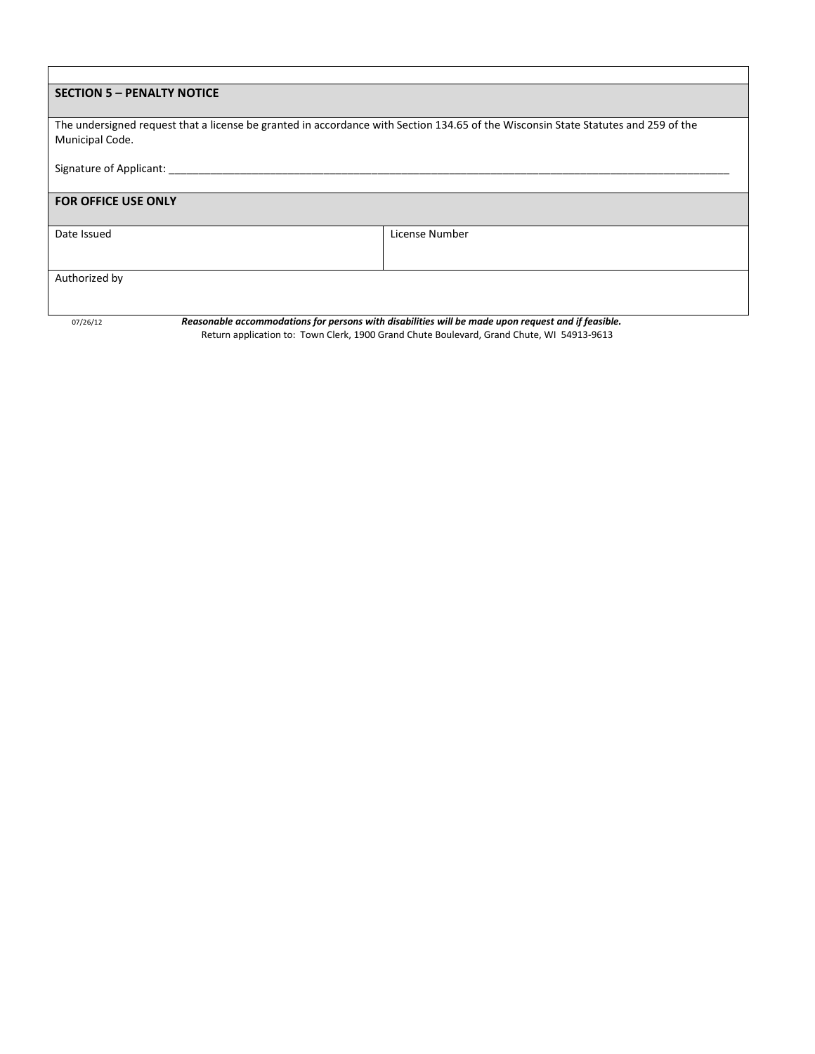| <b>SECTION 5 - PENALTY NOTICE</b>                                                                                                  |                                                                                                    |  |  |  |
|------------------------------------------------------------------------------------------------------------------------------------|----------------------------------------------------------------------------------------------------|--|--|--|
|                                                                                                                                    |                                                                                                    |  |  |  |
| The undersigned request that a license be granted in accordance with Section 134.65 of the Wisconsin State Statutes and 259 of the |                                                                                                    |  |  |  |
| Municipal Code.                                                                                                                    |                                                                                                    |  |  |  |
|                                                                                                                                    |                                                                                                    |  |  |  |
| Signature of Applicant:                                                                                                            |                                                                                                    |  |  |  |
|                                                                                                                                    |                                                                                                    |  |  |  |
| <b>FOR OFFICE USE ONLY</b>                                                                                                         |                                                                                                    |  |  |  |
|                                                                                                                                    |                                                                                                    |  |  |  |
| Date Issued                                                                                                                        | License Number                                                                                     |  |  |  |
|                                                                                                                                    |                                                                                                    |  |  |  |
|                                                                                                                                    |                                                                                                    |  |  |  |
| Authorized by                                                                                                                      |                                                                                                    |  |  |  |
|                                                                                                                                    |                                                                                                    |  |  |  |
|                                                                                                                                    |                                                                                                    |  |  |  |
| 07/26/12                                                                                                                           | Reasonable accommodations for persons with disabilities will be made upon request and if feasible. |  |  |  |

Return application to: Town Clerk, 1900 Grand Chute Boulevard, Grand Chute, WI 54913-9613